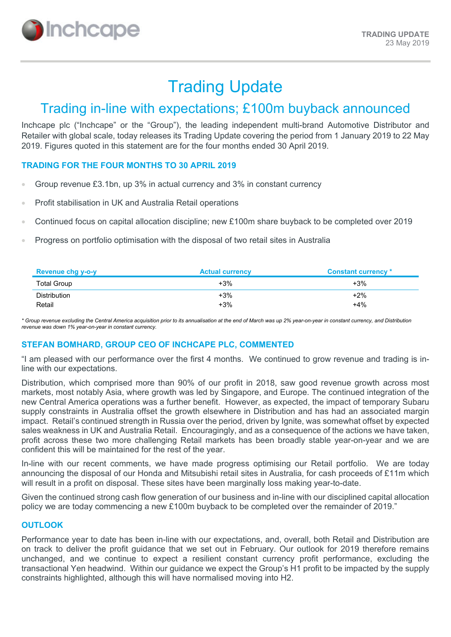

# Trading Update

## Trading in-line with expectations; £100m buyback announced

Inchcape plc ("Inchcape" or the "Group"), the leading independent multi-brand Automotive Distributor and Retailer with global scale, today releases its Trading Update covering the period from 1 January 2019 to 22 May 2019. Figures quoted in this statement are for the four months ended 30 April 2019.

#### **TRADING FOR THE FOUR MONTHS TO 30 APRIL 2019**

- Group revenue £3.1bn, up 3% in actual currency and 3% in constant currency
- Profit stabilisation in UK and Australia Retail operations
- Continued focus on capital allocation discipline; new £100m share buyback to be completed over 2019
- Progress on portfolio optimisation with the disposal of two retail sites in Australia

| <b>Revenue chg y-o-y</b> | <b>Actual currency</b> | <b>Constant currency</b> * |
|--------------------------|------------------------|----------------------------|
| <b>Total Group</b>       | $+3%$                  | $+3%$                      |
| Distribution             | $+3%$                  | $+2%$                      |
| Retail                   | $+3\%$                 | +4%                        |

*\* Group revenue excluding the Central America acquisition prior to its annualisation at the end of March was up 2% year-on-year in constant currency, and Distribution revenue was down 1% year-on-year in constant currency.*

#### **STEFAN BOMHARD, GROUP CEO OF INCHCAPE PLC, COMMENTED**

"I am pleased with our performance over the first 4 months. We continued to grow revenue and trading is inline with our expectations.

Distribution, which comprised more than 90% of our profit in 2018, saw good revenue growth across most markets, most notably Asia, where growth was led by Singapore, and Europe. The continued integration of the new Central America operations was a further benefit. However, as expected, the impact of temporary Subaru supply constraints in Australia offset the growth elsewhere in Distribution and has had an associated margin impact. Retail's continued strength in Russia over the period, driven by Ignite, was somewhat offset by expected sales weakness in UK and Australia Retail. Encouragingly, and as a consequence of the actions we have taken, profit across these two more challenging Retail markets has been broadly stable year-on-year and we are confident this will be maintained for the rest of the year.

In-line with our recent comments, we have made progress optimising our Retail portfolio. We are today announcing the disposal of our Honda and Mitsubishi retail sites in Australia, for cash proceeds of £11m which will result in a profit on disposal. These sites have been marginally loss making year-to-date.

Given the continued strong cash flow generation of our business and in-line with our disciplined capital allocation policy we are today commencing a new £100m buyback to be completed over the remainder of 2019."

### **OUTLOOK**

Performance year to date has been in-line with our expectations, and, overall, both Retail and Distribution are on track to deliver the profit guidance that we set out in February. Our outlook for 2019 therefore remains unchanged, and we continue to expect a resilient constant currency profit performance, excluding the transactional Yen headwind. Within our guidance we expect the Group's H1 profit to be impacted by the supply constraints highlighted, although this will have normalised moving into H2.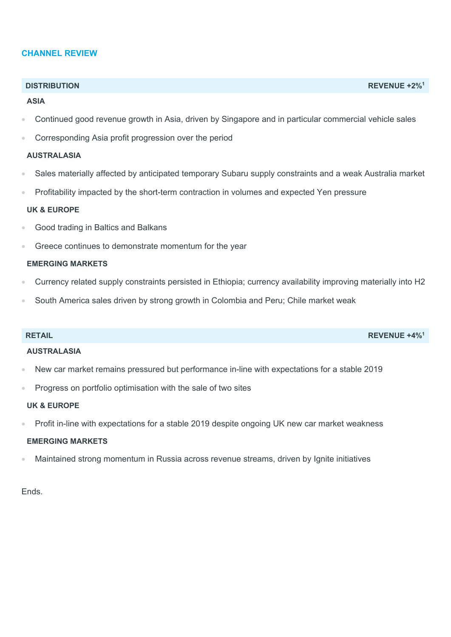#### **CHANNEL REVIEW**

#### **ASIA**

- Continued good revenue growth in Asia, driven by Singapore and in particular commercial vehicle sales
- Corresponding Asia profit progression over the period

#### **AUSTRALASIA**

- Sales materially affected by anticipated temporary Subaru supply constraints and a weak Australia market
- Profitability impacted by the short-term contraction in volumes and expected Yen pressure

#### **UK & EUROPE**

- Good trading in Baltics and Balkans
- Greece continues to demonstrate momentum for the year

#### **EMERGING MARKETS**

- Currency related supply constraints persisted in Ethiopia; currency availability improving materially into H2
- South America sales driven by strong growth in Colombia and Peru; Chile market weak

#### **AUSTRALASIA**

- New car market remains pressured but performance in-line with expectations for a stable 2019
- Progress on portfolio optimisation with the sale of two sites

#### **UK & EUROPE**

Profit in-line with expectations for a stable 2019 despite ongoing UK new car market weakness

#### **EMERGING MARKETS**

Maintained strong momentum in Russia across revenue streams, driven by Ignite initiatives

Ends.

#### **DISTRIBUTION REVENUE +2%1**

**RETAIL REVENUE +4%1**